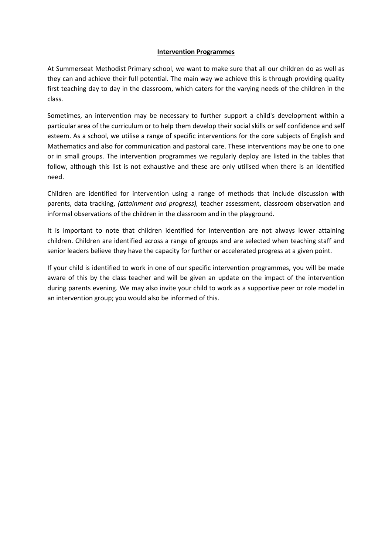## **Intervention Programmes**

At Summerseat Methodist Primary school, we want to make sure that all our children do as well as they can and achieve their full potential. The main way we achieve this is through providing quality first teaching day to day in the classroom, which caters for the varying needs of the children in the class.

Sometimes, an intervention may be necessary to further support a child's development within a particular area of the curriculum or to help them develop their social skills or self confidence and self esteem. As a school, we utilise a range of specific interventions for the core subjects of English and Mathematics and also for communication and pastoral care. These interventions may be one to one or in small groups. The intervention programmes we regularly deploy are listed in the tables that follow, although this list is not exhaustive and these are only utilised when there is an identified need.

Children are identified for intervention using a range of methods that include discussion with parents, data tracking, *(attainment and progress),* teacher assessment, classroom observation and informal observations of the children in the classroom and in the playground.

It is important to note that children identified for intervention are not always lower attaining children. Children are identified across a range of groups and are selected when teaching staff and senior leaders believe they have the capacity for further or accelerated progress at a given point.

If your child is identified to work in one of our specific intervention programmes, you will be made aware of this by the class teacher and will be given an update on the impact of the intervention during parents evening. We may also invite your child to work as a supportive peer or role model in an intervention group; you would also be informed of this.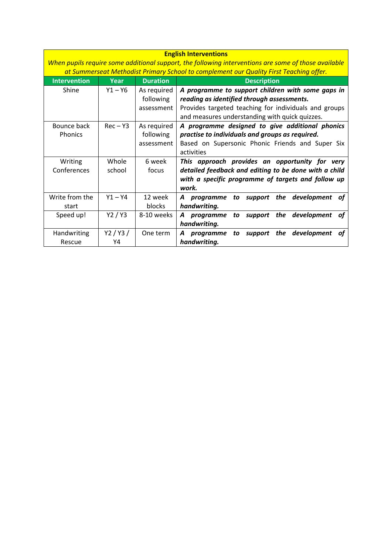| <b>English Interventions</b> |                                                                                                      |                 |                                                                                        |
|------------------------------|------------------------------------------------------------------------------------------------------|-----------------|----------------------------------------------------------------------------------------|
|                              | When pupils require some additional support, the following interventions are some of those available |                 |                                                                                        |
|                              |                                                                                                      |                 | at Summerseat Methodist Primary School to complement our Quality First Teaching offer. |
| <b>Intervention</b>          | <b>Year</b>                                                                                          | <b>Duration</b> | <b>Description</b>                                                                     |
| Shine                        | $Y1 - Y6$                                                                                            | As required     | A programme to support children with some gaps in                                      |
|                              |                                                                                                      | following       | reading as identified through assessments.                                             |
|                              |                                                                                                      | assessment      | Provides targeted teaching for individuals and groups                                  |
|                              |                                                                                                      |                 | and measures understanding with quick quizzes.                                         |
| Bounce back                  | $Rec - Y3$                                                                                           | As required     | A programme designed to give additional phonics                                        |
| <b>Phonics</b>               |                                                                                                      | following       | practise to individuals and groups as required.                                        |
|                              |                                                                                                      | assessment      | Based on Supersonic Phonic Friends and Super Six                                       |
|                              |                                                                                                      |                 | activities                                                                             |
| Writing                      | Whole                                                                                                | 6 week          | This approach provides an opportunity for<br>verv                                      |
| Conferences                  | school                                                                                               | focus           | detailed feedback and editing to be done with a child                                  |
|                              |                                                                                                      |                 | with a specific programme of targets and follow up                                     |
|                              |                                                                                                      |                 | work.                                                                                  |
| Write from the               | $Y1 - Y4$                                                                                            | 12 week         | support the development<br>programme<br>to<br>ot                                       |
| start                        |                                                                                                      | blocks          | handwriting.                                                                           |
| Speed up!                    | Y2/Y3                                                                                                | 8-10 weeks      | support the development<br>A programme<br>to<br>οt                                     |
|                              |                                                                                                      |                 | handwriting.                                                                           |
| Handwriting                  | Y2/Y3/                                                                                               | One term        | development<br>the<br>programme<br>to<br>support<br>ot                                 |
| Rescue                       | Y4                                                                                                   |                 | handwriting.                                                                           |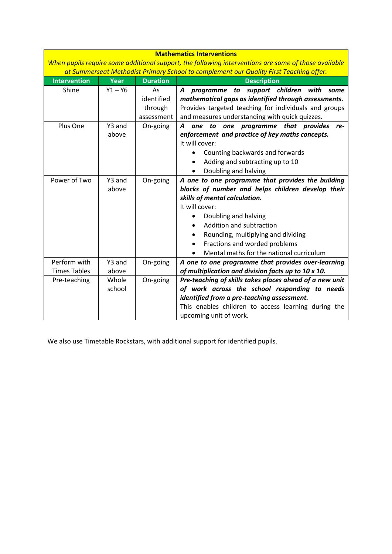| <b>Mathematics Interventions</b>                                                                     |           |                 |                                                                                        |
|------------------------------------------------------------------------------------------------------|-----------|-----------------|----------------------------------------------------------------------------------------|
| When pupils require some additional support, the following interventions are some of those available |           |                 |                                                                                        |
|                                                                                                      |           |                 | at Summerseat Methodist Primary School to complement our Quality First Teaching offer. |
| <b>Intervention</b>                                                                                  | Year      | <b>Duration</b> | <b>Description</b>                                                                     |
| Shine                                                                                                | $Y1 - Y6$ | As              | support children with<br>A<br>programme<br>to<br>some                                  |
|                                                                                                      |           | identified      | mathematical gaps as identified through assessments.                                   |
|                                                                                                      |           | through         | Provides targeted teaching for individuals and groups                                  |
|                                                                                                      |           | assessment      | and measures understanding with quick quizzes.                                         |
| Plus One                                                                                             | Y3 and    | On-going        | one programme that provides<br>one<br>to<br>A<br>re-                                   |
|                                                                                                      | above     |                 | enforcement and practice of key maths concepts.                                        |
|                                                                                                      |           |                 | It will cover:                                                                         |
|                                                                                                      |           |                 | Counting backwards and forwards                                                        |
|                                                                                                      |           |                 | Adding and subtracting up to 10                                                        |
|                                                                                                      |           |                 | Doubling and halving                                                                   |
| Power of Two                                                                                         | Y3 and    | On-going        | A one to one programme that provides the building                                      |
|                                                                                                      | above     |                 | blocks of number and helps children develop their                                      |
|                                                                                                      |           |                 | skills of mental calculation.                                                          |
|                                                                                                      |           |                 | It will cover:                                                                         |
|                                                                                                      |           |                 | Doubling and halving                                                                   |
|                                                                                                      |           |                 | Addition and subtraction                                                               |
|                                                                                                      |           |                 | Rounding, multiplying and dividing                                                     |
|                                                                                                      |           |                 | Fractions and worded problems                                                          |
|                                                                                                      |           |                 | Mental maths for the national curriculum                                               |
| Perform with                                                                                         | Y3 and    | On-going        | A one to one programme that provides over-learning                                     |
| <b>Times Tables</b>                                                                                  | above     |                 | of multiplication and division facts up to 10 x 10.                                    |
| Pre-teaching                                                                                         | Whole     | On-going        | Pre-teaching of skills takes places ahead of a new unit                                |
|                                                                                                      | school    |                 | of work across the school responding to needs                                          |
|                                                                                                      |           |                 | identified from a pre-teaching assessment.                                             |
|                                                                                                      |           |                 | This enables children to access learning during the                                    |
|                                                                                                      |           |                 | upcoming unit of work.                                                                 |

We also use Timetable Rockstars, with additional support for identified pupils.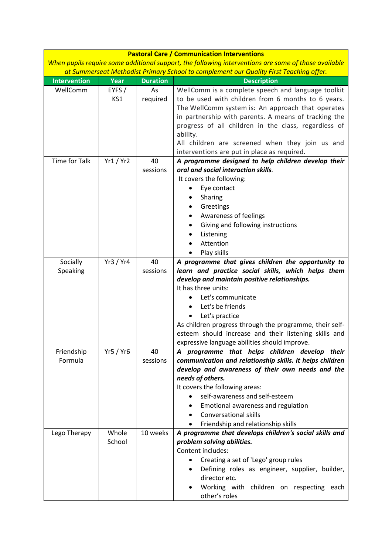|                       |                 |                 | <b>Pastoral Care / Communication Interventions</b>                                                                                                                                                                                                                                                                                                                                                                           |
|-----------------------|-----------------|-----------------|------------------------------------------------------------------------------------------------------------------------------------------------------------------------------------------------------------------------------------------------------------------------------------------------------------------------------------------------------------------------------------------------------------------------------|
|                       |                 |                 | When pupils require some additional support, the following interventions are some of those available                                                                                                                                                                                                                                                                                                                         |
|                       |                 |                 | at Summerseat Methodist Primary School to complement our Quality First Teaching offer.                                                                                                                                                                                                                                                                                                                                       |
| <b>Intervention</b>   | Year            | <b>Duration</b> | <b>Description</b>                                                                                                                                                                                                                                                                                                                                                                                                           |
| WellComm              | EYFS/<br>KS1    | As<br>required  | WellComm is a complete speech and language toolkit<br>to be used with children from 6 months to 6 years.<br>The WellComm system is: An approach that operates<br>in partnership with parents. A means of tracking the<br>progress of all children in the class, regardless of<br>ability.<br>All children are screened when they join us and                                                                                 |
| <b>Time for Talk</b>  |                 |                 | interventions are put in place as required.                                                                                                                                                                                                                                                                                                                                                                                  |
|                       | Yr1 / Yr2       | 40<br>sessions  | A programme designed to help children develop their<br>oral and social interaction skills.<br>It covers the following:<br>Eye contact<br>Sharing<br>Greetings<br>Awareness of feelings<br>Giving and following instructions<br>$\bullet$<br>Listening<br>Attention                                                                                                                                                           |
|                       |                 |                 | Play skills                                                                                                                                                                                                                                                                                                                                                                                                                  |
| Socially<br>Speaking  | Yr3 / Yr4       | 40<br>sessions  | A programme that gives children the opportunity to<br>learn and practice social skills, which helps them<br>develop and maintain positive relationships.<br>It has three units:<br>Let's communicate<br>Let's be friends<br>Let's practice<br>$\bullet$<br>As children progress through the programme, their self-<br>esteem should increase and their listening skills and<br>expressive language abilities should improve. |
| Friendship<br>Formula | Yr5 / Yr6       | 40<br>sessions  | A programme that helps children develop their<br>communication and relationship skills. It helps children<br>develop and awareness of their own needs and the<br>needs of others.<br>It covers the following areas:<br>self-awareness and self-esteem<br>Emotional awareness and regulation<br><b>Conversational skills</b><br>$\bullet$<br>Friendship and relationship skills                                               |
| Lego Therapy          | Whole<br>School | 10 weeks        | A programme that develops children's social skills and<br>problem solving abilities.<br>Content includes:<br>Creating a set of 'Lego' group rules<br>Defining roles as engineer, supplier, builder,<br>director etc.<br>Working with children on respecting each<br>other's roles                                                                                                                                            |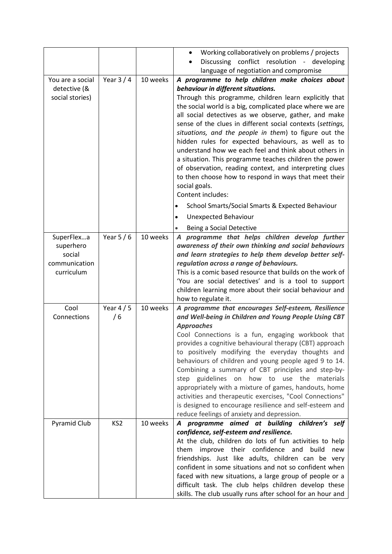|                         |                 |          | Working collaboratively on problems / projects                                                                      |
|-------------------------|-----------------|----------|---------------------------------------------------------------------------------------------------------------------|
|                         |                 |          | Discussing conflict resolution - developing                                                                         |
|                         |                 |          | language of negotiation and compromise                                                                              |
| You are a social        | Year $3/4$      | 10 weeks | A programme to help children make choices about                                                                     |
| detective (&            |                 |          | behaviour in different situations.                                                                                  |
| social stories)         |                 |          | Through this programme, children learn explicitly that                                                              |
|                         |                 |          | the social world is a big, complicated place where we are                                                           |
|                         |                 |          | all social detectives as we observe, gather, and make                                                               |
|                         |                 |          | sense of the clues in different social contexts (settings,<br>situations, and the people in them) to figure out the |
|                         |                 |          | hidden rules for expected behaviours, as well as to                                                                 |
|                         |                 |          | understand how we each feel and think about others in                                                               |
|                         |                 |          | a situation. This programme teaches children the power                                                              |
|                         |                 |          | of observation, reading context, and interpreting clues                                                             |
|                         |                 |          | to then choose how to respond in ways that meet their                                                               |
|                         |                 |          | social goals.                                                                                                       |
|                         |                 |          | Content includes:                                                                                                   |
|                         |                 |          | School Smarts/Social Smarts & Expected Behaviour<br>$\bullet$                                                       |
|                         |                 |          | <b>Unexpected Behaviour</b>                                                                                         |
|                         |                 |          | Being a Social Detective<br>$\bullet$                                                                               |
| SuperFlexa              | Year $5/6$      | 10 weeks | A programme that helps children develop further                                                                     |
| superhero               |                 |          | awareness of their own thinking and social behaviours                                                               |
| social<br>communication |                 |          | and learn strategies to help them develop better self-                                                              |
| curriculum              |                 |          | regulation across a range of behaviours.<br>This is a comic based resource that builds on the work of               |
|                         |                 |          | 'You are social detectives' and is a tool to support                                                                |
|                         |                 |          | children learning more about their social behaviour and                                                             |
|                         |                 |          | how to regulate it.                                                                                                 |
| Cool                    | Year $4/5$      | 10 weeks | A programme that encourages Self-esteem, Resilience                                                                 |
| Connections             | /6              |          | and Well-being in Children and Young People Using CBT                                                               |
|                         |                 |          | <b>Approaches</b>                                                                                                   |
|                         |                 |          | Cool Connections is a fun, engaging workbook that<br>provides a cognitive behavioural therapy (CBT) approach        |
|                         |                 |          | to positively modifying the everyday thoughts and                                                                   |
|                         |                 |          | behaviours of children and young people aged 9 to 14.                                                               |
|                         |                 |          | Combining a summary of CBT principles and step-by-                                                                  |
|                         |                 |          | guidelines on how to use the<br>step<br>materials                                                                   |
|                         |                 |          | appropriately with a mixture of games, handouts, home                                                               |
|                         |                 |          | activities and therapeutic exercises, "Cool Connections"                                                            |
|                         |                 |          | is designed to encourage resilience and self-esteem and                                                             |
|                         |                 |          | reduce feelings of anxiety and depression.                                                                          |
| <b>Pyramid Club</b>     | KS <sub>2</sub> | 10 weeks | A programme aimed at building children's self                                                                       |
|                         |                 |          | confidence, self-esteem and resilience.                                                                             |
|                         |                 |          | At the club, children do lots of fun activities to help                                                             |
|                         |                 |          | improve their confidence and<br>them<br>build<br>new<br>friendships. Just like adults, children can be very         |
|                         |                 |          | confident in some situations and not so confident when                                                              |
|                         |                 |          | faced with new situations, a large group of people or a                                                             |
|                         |                 |          | difficult task. The club helps children develop these                                                               |
|                         |                 |          | skills. The club usually runs after school for an hour and                                                          |